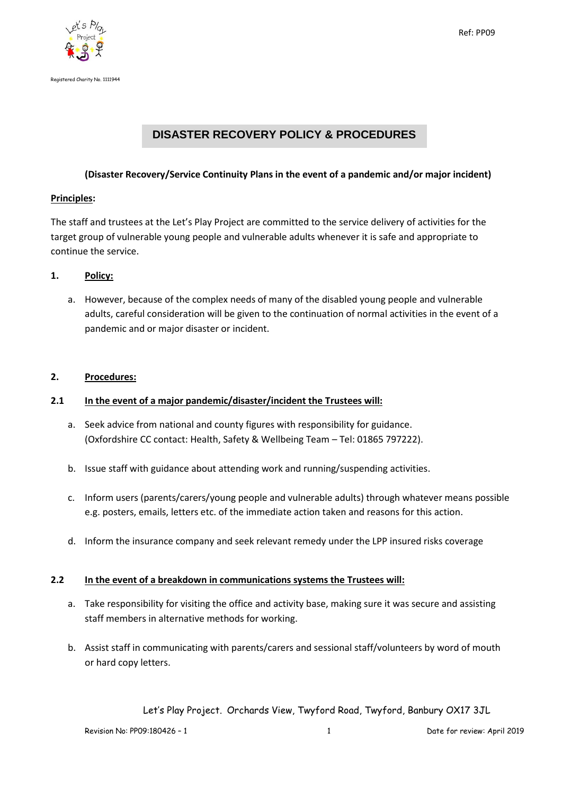



# **DISASTER RECOVERY POLICY & PROCEDURES**

## **(Disaster Recovery/Service Continuity Plans in the event of a pandemic and/or major incident)**

#### **Principles:**

The staff and trustees at the Let's Play Project are committed to the service delivery of activities for the target group of vulnerable young people and vulnerable adults whenever it is safe and appropriate to continue the service.

### **1. Policy:**

a. However, because of the complex needs of many of the disabled young people and vulnerable adults, careful consideration will be given to the continuation of normal activities in the event of a pandemic and or major disaster or incident.

### **2. Procedures:**

## **2.1 In the event of a major pandemic/disaster/incident the Trustees will:**

- a. Seek advice from national and county figures with responsibility for guidance. (Oxfordshire CC contact: Health, Safety & Wellbeing Team – Tel: 01865 797222).
- b. Issue staff with guidance about attending work and running/suspending activities.
- c. Inform users (parents/carers/young people and vulnerable adults) through whatever means possible e.g. posters, emails, letters etc. of the immediate action taken and reasons for this action.
- d. Inform the insurance company and seek relevant remedy under the LPP insured risks coverage

#### **2.2 In the event of a breakdown in communications systems the Trustees will:**

- a. Take responsibility for visiting the office and activity base, making sure it was secure and assisting staff members in alternative methods for working.
- b. Assist staff in communicating with parents/carers and sessional staff/volunteers by word of mouth or hard copy letters.

Let's Play Project. Orchards View, Twyford Road, Twyford, Banbury OX17 3JL

Revision No: PP09:180426 – 1 1 Date for review: April 2019